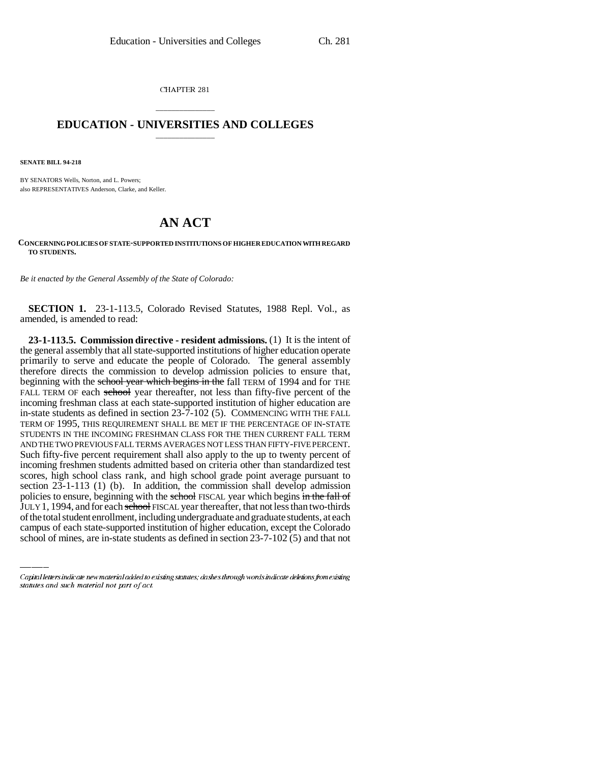CHAPTER 281

## \_\_\_\_\_\_\_\_\_\_\_\_\_\_\_ **EDUCATION - UNIVERSITIES AND COLLEGES** \_\_\_\_\_\_\_\_\_\_\_\_\_\_\_

**SENATE BILL 94-218**

BY SENATORS Wells, Norton, and L. Powers; also REPRESENTATIVES Anderson, Clarke, and Keller.

## **AN ACT**

## **CONCERNING POLICIES OF STATE-SUPPORTED INSTITUTIONS OF HIGHER EDUCATION WITH REGARD TO STUDENTS.**

*Be it enacted by the General Assembly of the State of Colorado:*

**SECTION 1.** 23-1-113.5, Colorado Revised Statutes, 1988 Repl. Vol., as amended, is amended to read:

policies to ensure, beginning with the school FISCAL year which begins in the fall of **23-1-113.5. Commission directive - resident admissions.** (1) It is the intent of the general assembly that all state-supported institutions of higher education operate primarily to serve and educate the people of Colorado. The general assembly therefore directs the commission to develop admission policies to ensure that, beginning with the school year which begins in the fall TERM of 1994 and for THE FALL TERM OF each school year thereafter, not less than fifty-five percent of the incoming freshman class at each state-supported institution of higher education are in-state students as defined in section 23-7-102 (5). COMMENCING WITH THE FALL TERM OF 1995, THIS REQUIREMENT SHALL BE MET IF THE PERCENTAGE OF IN-STATE STUDENTS IN THE INCOMING FRESHMAN CLASS FOR THE THEN CURRENT FALL TERM AND THE TWO PREVIOUS FALL TERMS AVERAGES NOT LESS THAN FIFTY-FIVE PERCENT. Such fifty-five percent requirement shall also apply to the up to twenty percent of incoming freshmen students admitted based on criteria other than standardized test scores, high school class rank, and high school grade point average pursuant to section 23-1-113 (1) (b). In addition, the commission shall develop admission JULY 1, 1994, and for each school FISCAL year thereafter, that not less than two-thirds of the total student enrollment, including undergraduate and graduate students, at each campus of each state-supported institution of higher education, except the Colorado school of mines, are in-state students as defined in section 23-7-102 (5) and that not

Capital letters indicate new material added to existing statutes; dashes through words indicate deletions from existing statutes and such material not part of act.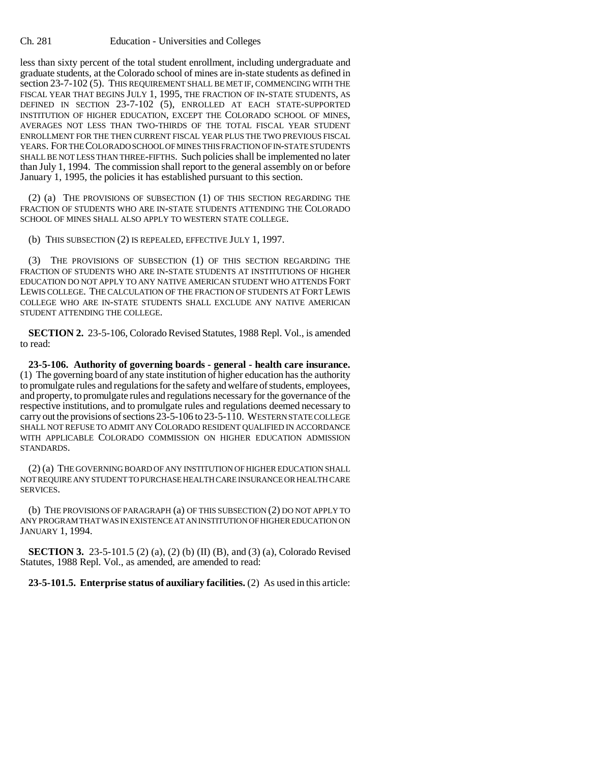less than sixty percent of the total student enrollment, including undergraduate and graduate students, at the Colorado school of mines are in-state students as defined in section 23-7-102 (5). THIS REQUIREMENT SHALL BE MET IF, COMMENCING WITH THE FISCAL YEAR THAT BEGINS JULY 1, 1995, THE FRACTION OF IN-STATE STUDENTS, AS DEFINED IN SECTION 23-7-102 (5), ENROLLED AT EACH STATE-SUPPORTED INSTITUTION OF HIGHER EDUCATION, EXCEPT THE COLORADO SCHOOL OF MINES, AVERAGES NOT LESS THAN TWO-THIRDS OF THE TOTAL FISCAL YEAR STUDENT ENROLLMENT FOR THE THEN CURRENT FISCAL YEAR PLUS THE TWO PREVIOUS FISCAL YEARS. FOR THE COLORADO SCHOOL OF MINES THIS FRACTION OF IN-STATE STUDENTS SHALL BE NOT LESS THAN THREE-FIFTHS. Such policies shall be implemented no later than July 1, 1994. The commission shall report to the general assembly on or before January 1, 1995, the policies it has established pursuant to this section.

(2) (a) THE PROVISIONS OF SUBSECTION (1) OF THIS SECTION REGARDING THE FRACTION OF STUDENTS WHO ARE IN-STATE STUDENTS ATTENDING THE COLORADO SCHOOL OF MINES SHALL ALSO APPLY TO WESTERN STATE COLLEGE.

(b) THIS SUBSECTION (2) IS REPEALED, EFFECTIVE JULY 1, 1997.

(3) THE PROVISIONS OF SUBSECTION (1) OF THIS SECTION REGARDING THE FRACTION OF STUDENTS WHO ARE IN-STATE STUDENTS AT INSTITUTIONS OF HIGHER EDUCATION DO NOT APPLY TO ANY NATIVE AMERICAN STUDENT WHO ATTENDS FORT LEWIS COLLEGE. THE CALCULATION OF THE FRACTION OF STUDENTS AT FORT LEWIS COLLEGE WHO ARE IN-STATE STUDENTS SHALL EXCLUDE ANY NATIVE AMERICAN STUDENT ATTENDING THE COLLEGE.

**SECTION 2.** 23-5-106, Colorado Revised Statutes, 1988 Repl. Vol., is amended to read:

**23-5-106. Authority of governing boards - general - health care insurance.** (1) The governing board of any state institution of higher education has the authority to promulgate rules and regulations for the safety and welfare of students, employees, and property, to promulgate rules and regulations necessary for the governance of the respective institutions, and to promulgate rules and regulations deemed necessary to carry out the provisions of sections 23-5-106 to 23-5-110. WESTERN STATE COLLEGE SHALL NOT REFUSE TO ADMIT ANY COLORADO RESIDENT QUALIFIED IN ACCORDANCE WITH APPLICABLE COLORADO COMMISSION ON HIGHER EDUCATION ADMISSION STANDARDS.

(2) (a) THE GOVERNING BOARD OF ANY INSTITUTION OF HIGHER EDUCATION SHALL NOT REQUIRE ANY STUDENT TO PURCHASE HEALTH CARE INSURANCE OR HEALTH CARE SERVICES.

(b) THE PROVISIONS OF PARAGRAPH (a) OF THIS SUBSECTION (2) DO NOT APPLY TO ANY PROGRAM THAT WAS IN EXISTENCE AT AN INSTITUTION OF HIGHER EDUCATION ON JANUARY 1, 1994.

**SECTION 3.** 23-5-101.5 (2) (a), (2) (b) (II) (B), and (3) (a), Colorado Revised Statutes, 1988 Repl. Vol., as amended, are amended to read:

**23-5-101.5. Enterprise status of auxiliary facilities.** (2) As used in this article: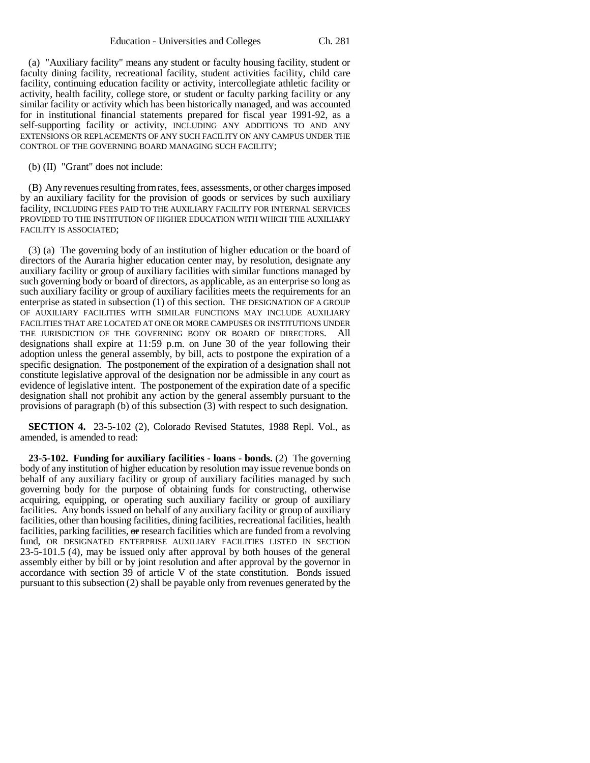(a) "Auxiliary facility" means any student or faculty housing facility, student or faculty dining facility, recreational facility, student activities facility, child care facility, continuing education facility or activity, intercollegiate athletic facility or activity, health facility, college store, or student or faculty parking facility or any similar facility or activity which has been historically managed, and was accounted for in institutional financial statements prepared for fiscal year 1991-92, as a self-supporting facility or activity, INCLUDING ANY ADDITIONS TO AND ANY EXTENSIONS OR REPLACEMENTS OF ANY SUCH FACILITY ON ANY CAMPUS UNDER THE CONTROL OF THE GOVERNING BOARD MANAGING SUCH FACILITY;

(b) (II) "Grant" does not include:

(B) Any revenues resulting from rates, fees, assessments, or other charges imposed by an auxiliary facility for the provision of goods or services by such auxiliary facility, INCLUDING FEES PAID TO THE AUXILIARY FACILITY FOR INTERNAL SERVICES PROVIDED TO THE INSTITUTION OF HIGHER EDUCATION WITH WHICH THE AUXILIARY FACILITY IS ASSOCIATED;

(3) (a) The governing body of an institution of higher education or the board of directors of the Auraria higher education center may, by resolution, designate any auxiliary facility or group of auxiliary facilities with similar functions managed by such governing body or board of directors, as applicable, as an enterprise so long as such auxiliary facility or group of auxiliary facilities meets the requirements for an enterprise as stated in subsection (1) of this section. THE DESIGNATION OF A GROUP OF AUXILIARY FACILITIES WITH SIMILAR FUNCTIONS MAY INCLUDE AUXILIARY FACILITIES THAT ARE LOCATED AT ONE OR MORE CAMPUSES OR INSTITUTIONS UNDER THE JURISDICTION OF THE GOVERNING BODY OR BOARD OF DIRECTORS. All designations shall expire at 11:59 p.m. on June 30 of the year following their adoption unless the general assembly, by bill, acts to postpone the expiration of a specific designation. The postponement of the expiration of a designation shall not constitute legislative approval of the designation nor be admissible in any court as evidence of legislative intent. The postponement of the expiration date of a specific designation shall not prohibit any action by the general assembly pursuant to the provisions of paragraph (b) of this subsection (3) with respect to such designation.

**SECTION 4.** 23-5-102 (2), Colorado Revised Statutes, 1988 Repl. Vol., as amended, is amended to read:

**23-5-102. Funding for auxiliary facilities - loans - bonds.** (2) The governing body of any institution of higher education by resolution may issue revenue bonds on behalf of any auxiliary facility or group of auxiliary facilities managed by such governing body for the purpose of obtaining funds for constructing, otherwise acquiring, equipping, or operating such auxiliary facility or group of auxiliary facilities. Any bonds issued on behalf of any auxiliary facility or group of auxiliary facilities, other than housing facilities, dining facilities, recreational facilities, health facilities, parking facilities,  $\sigma$  research facilities which are funded from a revolving fund, OR DESIGNATED ENTERPRISE AUXILIARY FACILITIES LISTED IN SECTION 23-5-101.5 (4), may be issued only after approval by both houses of the general assembly either by bill or by joint resolution and after approval by the governor in accordance with section 39 of article V of the state constitution. Bonds issued pursuant to this subsection (2) shall be payable only from revenues generated by the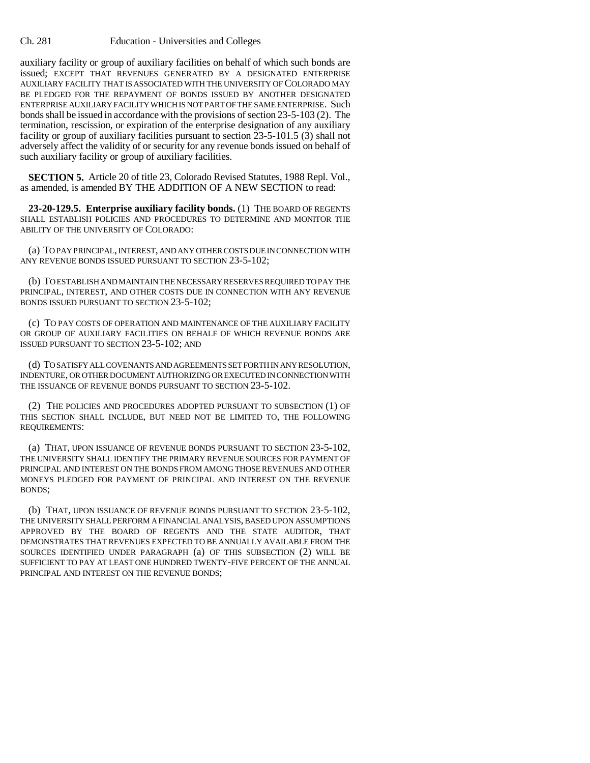auxiliary facility or group of auxiliary facilities on behalf of which such bonds are issued; EXCEPT THAT REVENUES GENERATED BY A DESIGNATED ENTERPRISE AUXILIARY FACILITY THAT IS ASSOCIATED WITH THE UNIVERSITY OF COLORADO MAY BE PLEDGED FOR THE REPAYMENT OF BONDS ISSUED BY ANOTHER DESIGNATED ENTERPRISE AUXILIARY FACILITY WHICH IS NOT PART OF THE SAME ENTERPRISE. Such bonds shall be issued in accordance with the provisions of section 23-5-103 (2). The termination, rescission, or expiration of the enterprise designation of any auxiliary facility or group of auxiliary facilities pursuant to section 23-5-101.5 (3) shall not adversely affect the validity of or security for any revenue bonds issued on behalf of such auxiliary facility or group of auxiliary facilities.

**SECTION 5.** Article 20 of title 23, Colorado Revised Statutes, 1988 Repl. Vol., as amended, is amended BY THE ADDITION OF A NEW SECTION to read:

**23-20-129.5. Enterprise auxiliary facility bonds.** (1) THE BOARD OF REGENTS SHALL ESTABLISH POLICIES AND PROCEDURES TO DETERMINE AND MONITOR THE ABILITY OF THE UNIVERSITY OF COLORADO:

(a) TO PAY PRINCIPAL, INTEREST, AND ANY OTHER COSTS DUE IN CONNECTION WITH ANY REVENUE BONDS ISSUED PURSUANT TO SECTION 23-5-102;

(b) TO ESTABLISH AND MAINTAIN THE NECESSARY RESERVES REQUIRED TO PAY THE PRINCIPAL, INTEREST, AND OTHER COSTS DUE IN CONNECTION WITH ANY REVENUE BONDS ISSUED PURSUANT TO SECTION 23-5-102;

(c) TO PAY COSTS OF OPERATION AND MAINTENANCE OF THE AUXILIARY FACILITY OR GROUP OF AUXILIARY FACILITIES ON BEHALF OF WHICH REVENUE BONDS ARE ISSUED PURSUANT TO SECTION 23-5-102; AND

(d) TO SATISFY ALL COVENANTS AND AGREEMENTS SET FORTH IN ANY RESOLUTION, INDENTURE, OR OTHER DOCUMENT AUTHORIZING OR EXECUTED IN CONNECTION WITH THE ISSUANCE OF REVENUE BONDS PURSUANT TO SECTION 23-5-102.

(2) THE POLICIES AND PROCEDURES ADOPTED PURSUANT TO SUBSECTION (1) OF THIS SECTION SHALL INCLUDE, BUT NEED NOT BE LIMITED TO, THE FOLLOWING REQUIREMENTS:

(a) THAT, UPON ISSUANCE OF REVENUE BONDS PURSUANT TO SECTION 23-5-102, THE UNIVERSITY SHALL IDENTIFY THE PRIMARY REVENUE SOURCES FOR PAYMENT OF PRINCIPAL AND INTEREST ON THE BONDS FROM AMONG THOSE REVENUES AND OTHER MONEYS PLEDGED FOR PAYMENT OF PRINCIPAL AND INTEREST ON THE REVENUE BONDS;

(b) THAT, UPON ISSUANCE OF REVENUE BONDS PURSUANT TO SECTION 23-5-102, THE UNIVERSITY SHALL PERFORM A FINANCIAL ANALYSIS, BASED UPON ASSUMPTIONS APPROVED BY THE BOARD OF REGENTS AND THE STATE AUDITOR, THAT DEMONSTRATES THAT REVENUES EXPECTED TO BE ANNUALLY AVAILABLE FROM THE SOURCES IDENTIFIED UNDER PARAGRAPH (a) OF THIS SUBSECTION (2) WILL BE SUFFICIENT TO PAY AT LEAST ONE HUNDRED TWENTY-FIVE PERCENT OF THE ANNUAL PRINCIPAL AND INTEREST ON THE REVENUE BONDS;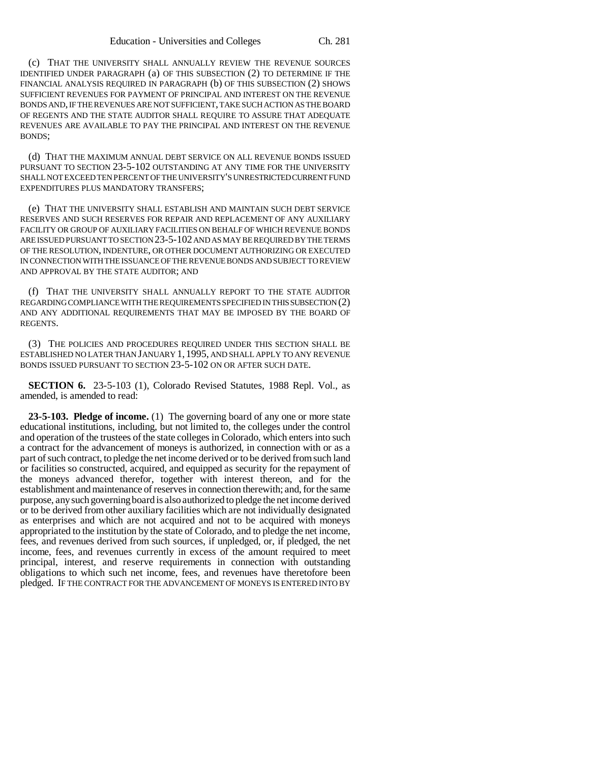(c) THAT THE UNIVERSITY SHALL ANNUALLY REVIEW THE REVENUE SOURCES IDENTIFIED UNDER PARAGRAPH (a) OF THIS SUBSECTION (2) TO DETERMINE IF THE FINANCIAL ANALYSIS REQUIRED IN PARAGRAPH (b) OF THIS SUBSECTION (2) SHOWS SUFFICIENT REVENUES FOR PAYMENT OF PRINCIPAL AND INTEREST ON THE REVENUE BONDS AND, IF THE REVENUES ARE NOT SUFFICIENT, TAKE SUCH ACTION AS THE BOARD OF REGENTS AND THE STATE AUDITOR SHALL REQUIRE TO ASSURE THAT ADEQUATE REVENUES ARE AVAILABLE TO PAY THE PRINCIPAL AND INTEREST ON THE REVENUE BONDS;

(d) THAT THE MAXIMUM ANNUAL DEBT SERVICE ON ALL REVENUE BONDS ISSUED PURSUANT TO SECTION 23-5-102 OUTSTANDING AT ANY TIME FOR THE UNIVERSITY SHALL NOT EXCEED TEN PERCENT OF THE UNIVERSITY'S UNRESTRICTED CURRENT FUND EXPENDITURES PLUS MANDATORY TRANSFERS;

(e) THAT THE UNIVERSITY SHALL ESTABLISH AND MAINTAIN SUCH DEBT SERVICE RESERVES AND SUCH RESERVES FOR REPAIR AND REPLACEMENT OF ANY AUXILIARY FACILITY OR GROUP OF AUXILIARY FACILITIES ON BEHALF OF WHICH REVENUE BONDS ARE ISSUED PURSUANT TO SECTION 23-5-102 AND AS MAY BE REQUIRED BY THE TERMS OF THE RESOLUTION, INDENTURE, OR OTHER DOCUMENT AUTHORIZING OR EXECUTED IN CONNECTION WITH THE ISSUANCE OF THE REVENUE BONDS AND SUBJECT TO REVIEW AND APPROVAL BY THE STATE AUDITOR; AND

(f) THAT THE UNIVERSITY SHALL ANNUALLY REPORT TO THE STATE AUDITOR REGARDING COMPLIANCE WITH THE REQUIREMENTS SPECIFIED IN THIS SUBSECTION (2) AND ANY ADDITIONAL REQUIREMENTS THAT MAY BE IMPOSED BY THE BOARD OF REGENTS.

(3) THE POLICIES AND PROCEDURES REQUIRED UNDER THIS SECTION SHALL BE ESTABLISHED NO LATER THAN JANUARY 1, 1995, AND SHALL APPLY TO ANY REVENUE BONDS ISSUED PURSUANT TO SECTION 23-5-102 ON OR AFTER SUCH DATE.

**SECTION 6.** 23-5-103 (1), Colorado Revised Statutes, 1988 Repl. Vol., as amended, is amended to read:

**23-5-103. Pledge of income.** (1) The governing board of any one or more state educational institutions, including, but not limited to, the colleges under the control and operation of the trustees of the state colleges in Colorado, which enters into such a contract for the advancement of moneys is authorized, in connection with or as a part of such contract, to pledge the net income derived or to be derived from such land or facilities so constructed, acquired, and equipped as security for the repayment of the moneys advanced therefor, together with interest thereon, and for the establishment and maintenance of reserves in connection therewith; and, for the same purpose, any such governing board is also authorized to pledge the net income derived or to be derived from other auxiliary facilities which are not individually designated as enterprises and which are not acquired and not to be acquired with moneys appropriated to the institution by the state of Colorado, and to pledge the net income, fees, and revenues derived from such sources, if unpledged, or, if pledged, the net income, fees, and revenues currently in excess of the amount required to meet principal, interest, and reserve requirements in connection with outstanding obligations to which such net income, fees, and revenues have theretofore been pledged. IF THE CONTRACT FOR THE ADVANCEMENT OF MONEYS IS ENTERED INTO BY